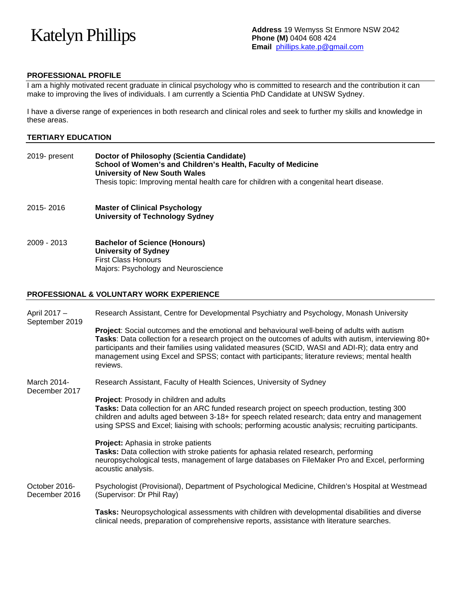# Katelyn Phillips

## **PROFESSIONAL PROFILE**

I am a highly motivated recent graduate in clinical psychology who is committed to research and the contribution it can make to improving the lives of individuals. I am currently a Scientia PhD Candidate at UNSW Sydney.

I have a diverse range of experiences in both research and clinical roles and seek to further my skills and knowledge in these areas.

#### **TERTIARY EDUCATION**

| 2019- present | Doctor of Philosophy (Scientia Candidate)<br>School of Women's and Children's Health, Faculty of Medicine<br>University of New South Wales<br>Thesis topic: Improving mental health care for children with a congenital heart disease. |
|---------------|----------------------------------------------------------------------------------------------------------------------------------------------------------------------------------------------------------------------------------------|
| 2015-2016     | <b>Master of Clinical Psychology</b><br><b>University of Technology Sydney</b>                                                                                                                                                         |

2009 - 2013 **Bachelor of Science (Honours) University of Sydney** First Class Honours Majors: Psychology and Neuroscience

#### **PROFESSIONAL & VOLUNTARY WORK EXPERIENCE**

| April 2017 -<br>September 2019 | Research Assistant, Centre for Developmental Psychiatry and Psychology, Monash University                                                                                                                                                                                                                                                                                                                                   |
|--------------------------------|-----------------------------------------------------------------------------------------------------------------------------------------------------------------------------------------------------------------------------------------------------------------------------------------------------------------------------------------------------------------------------------------------------------------------------|
|                                | <b>Project:</b> Social outcomes and the emotional and behavioural well-being of adults with autism<br>Tasks: Data collection for a research project on the outcomes of adults with autism, interviewing 80+<br>participants and their families using validated measures (SCID, WASI and ADI-R); data entry and<br>management using Excel and SPSS; contact with participants; literature reviews; mental health<br>reviews. |
| March 2014-<br>December 2017   | Research Assistant, Faculty of Health Sciences, University of Sydney                                                                                                                                                                                                                                                                                                                                                        |
|                                | <b>Project:</b> Prosody in children and adults<br>Tasks: Data collection for an ARC funded research project on speech production, testing 300<br>children and adults aged between 3-18+ for speech related research; data entry and management<br>using SPSS and Excel; liaising with schools; performing acoustic analysis; recruiting participants.                                                                       |
|                                | <b>Project:</b> Aphasia in stroke patients<br>Tasks: Data collection with stroke patients for aphasia related research, performing<br>neuropsychological tests, management of large databases on FileMaker Pro and Excel, performing<br>acoustic analysis.                                                                                                                                                                  |
| October 2016-<br>December 2016 | Psychologist (Provisional), Department of Psychological Medicine, Children's Hospital at Westmead<br>(Supervisor: Dr Phil Ray)                                                                                                                                                                                                                                                                                              |
|                                | Tasks: Neuropsychological assessments with children with developmental disabilities and diverse<br>clinical needs, preparation of comprehensive reports, assistance with literature searches.                                                                                                                                                                                                                               |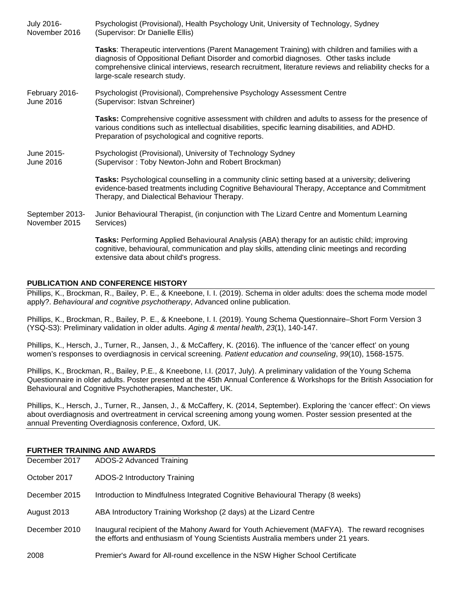| July 2016-<br>November 2016      | Psychologist (Provisional), Health Psychology Unit, University of Technology, Sydney<br>(Supervisor: Dr Danielle Ellis)                                                                                                                                                                                                              |
|----------------------------------|--------------------------------------------------------------------------------------------------------------------------------------------------------------------------------------------------------------------------------------------------------------------------------------------------------------------------------------|
|                                  | Tasks: Therapeutic interventions (Parent Management Training) with children and families with a<br>diagnosis of Oppositional Defiant Disorder and comorbid diagnoses. Other tasks include<br>comprehensive clinical interviews, research recruitment, literature reviews and reliability checks for a<br>large-scale research study. |
| February 2016-<br>June 2016      | Psychologist (Provisional), Comprehensive Psychology Assessment Centre<br>(Supervisor: Istvan Schreiner)                                                                                                                                                                                                                             |
|                                  | Tasks: Comprehensive cognitive assessment with children and adults to assess for the presence of<br>various conditions such as intellectual disabilities, specific learning disabilities, and ADHD.<br>Preparation of psychological and cognitive reports.                                                                           |
| June 2015-<br>June 2016          | Psychologist (Provisional), University of Technology Sydney<br>(Supervisor: Toby Newton-John and Robert Brockman)                                                                                                                                                                                                                    |
|                                  | Tasks: Psychological counselling in a community clinic setting based at a university; delivering<br>evidence-based treatments including Cognitive Behavioural Therapy, Acceptance and Commitment<br>Therapy, and Dialectical Behaviour Therapy.                                                                                      |
| September 2013-<br>November 2015 | Junior Behavioural Therapist, (in conjunction with The Lizard Centre and Momentum Learning<br>Services)                                                                                                                                                                                                                              |
|                                  | Tasks: Performing Applied Behavioural Analysis (ABA) therapy for an autistic child; improving<br>cognitive, behavioural, communication and play skills, attending clinic meetings and recording<br>extensive data about child's progress.                                                                                            |

#### **PUBLICATION AND CONFERENCE HISTORY**

Phillips, K., Brockman, R., Bailey, P. E., & Kneebone, I. I. (2019). Schema in older adults: does the schema mode model apply?. *Behavioural and cognitive psychotherapy*, Advanced online publication.

Phillips, K., Brockman, R., Bailey, P. E., & Kneebone, I. I. (2019). Young Schema Questionnaire–Short Form Version 3 (YSQ-S3): Preliminary validation in older adults. *Aging & mental health*, *23*(1), 140-147.

Phillips, K., Hersch, J., Turner, R., Jansen, J., & McCaffery, K. (2016). The influence of the 'cancer effect' on young women's responses to overdiagnosis in cervical screening. *Patient education and counseling*, *99*(10), 1568-1575.

Phillips, K., Brockman, R., Bailey, P.E., & Kneebone, I.I. (2017, July). A preliminary validation of the Young Schema Questionnaire in older adults. Poster presented at the 45th Annual Conference & Workshops for the British Association for Behavioural and Cognitive Psychotherapies, Manchester, UK.

Phillips, K., Hersch, J., Turner, R., Jansen, J., & McCaffery, K. (2014, September). Exploring the 'cancer effect': On views about overdiagnosis and overtreatment in cervical screening among young women. Poster session presented at the annual Preventing Overdiagnosis conference, Oxford, UK.

#### **FURTHER TRAINING AND AWARDS**

| December 2017 | ADOS-2 Advanced Training                                                                                                                                                         |
|---------------|----------------------------------------------------------------------------------------------------------------------------------------------------------------------------------|
| October 2017  | ADOS-2 Introductory Training                                                                                                                                                     |
| December 2015 | Introduction to Mindfulness Integrated Cognitive Behavioural Therapy (8 weeks)                                                                                                   |
| August 2013   | ABA Introductory Training Workshop (2 days) at the Lizard Centre                                                                                                                 |
| December 2010 | Inaugural recipient of the Mahony Award for Youth Achievement (MAFYA). The reward recognises<br>the efforts and enthusiasm of Young Scientists Australia members under 21 years. |
| 2008          | Premier's Award for All-round excellence in the NSW Higher School Certificate                                                                                                    |